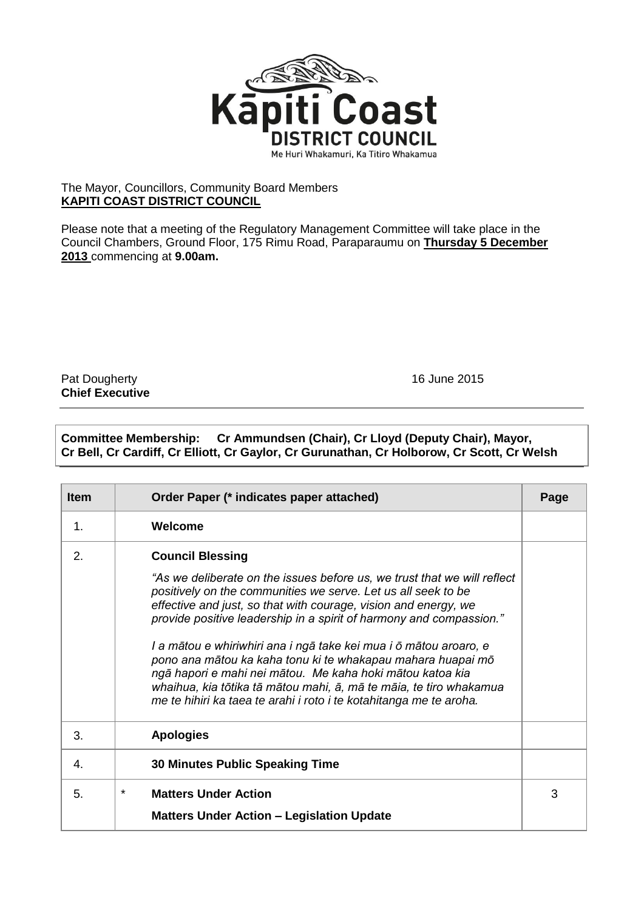

## The Mayor, Councillors, Community Board Members **KAPITI COAST DISTRICT COUNCIL**

Please note that a meeting of the Regulatory Management Committee will take place in the Council Chambers, Ground Floor, 175 Rimu Road, Paraparaumu on **Thursday 5 December 2013** commencing at **9.00am.**

Pat Dougherty **16 June 2015 Chief Executive**

## **Committee Membership: Cr Ammundsen (Chair), Cr Lloyd (Deputy Chair), Mayor, Cr Bell, Cr Cardiff, Cr Elliott, Cr Gaylor, Cr Gurunathan, Cr Holborow, Cr Scott, Cr Welsh**

| <b>Item</b> | Order Paper (* indicates paper attached)                                                                                                                                                                                                                                                                                                                                                                                                                                                                                                                                                                                                                    | Page |
|-------------|-------------------------------------------------------------------------------------------------------------------------------------------------------------------------------------------------------------------------------------------------------------------------------------------------------------------------------------------------------------------------------------------------------------------------------------------------------------------------------------------------------------------------------------------------------------------------------------------------------------------------------------------------------------|------|
| 1.          | Welcome                                                                                                                                                                                                                                                                                                                                                                                                                                                                                                                                                                                                                                                     |      |
| 2.          | <b>Council Blessing</b><br>"As we deliberate on the issues before us, we trust that we will reflect<br>positively on the communities we serve. Let us all seek to be<br>effective and just, so that with courage, vision and energy, we<br>provide positive leadership in a spirit of harmony and compassion."<br>I a mātou e whiriwhiri ana i ngā take kei mua i ō mātou aroaro, e<br>pono ana mātou ka kaha tonu ki te whakapau mahara huapai mō<br>ngā hapori e mahi nei mātou. Me kaha hoki mātou katoa kia<br>whaihua, kia tōtika tā mātou mahi, ā, mā te māia, te tiro whakamua<br>me te hihiri ka taea te arahi i roto i te kotahitanga me te aroha. |      |
| 3.          | <b>Apologies</b>                                                                                                                                                                                                                                                                                                                                                                                                                                                                                                                                                                                                                                            |      |
| 4.          | <b>30 Minutes Public Speaking Time</b>                                                                                                                                                                                                                                                                                                                                                                                                                                                                                                                                                                                                                      |      |
| 5.          | $\star$<br><b>Matters Under Action</b><br><b>Matters Under Action - Legislation Update</b>                                                                                                                                                                                                                                                                                                                                                                                                                                                                                                                                                                  | 3    |